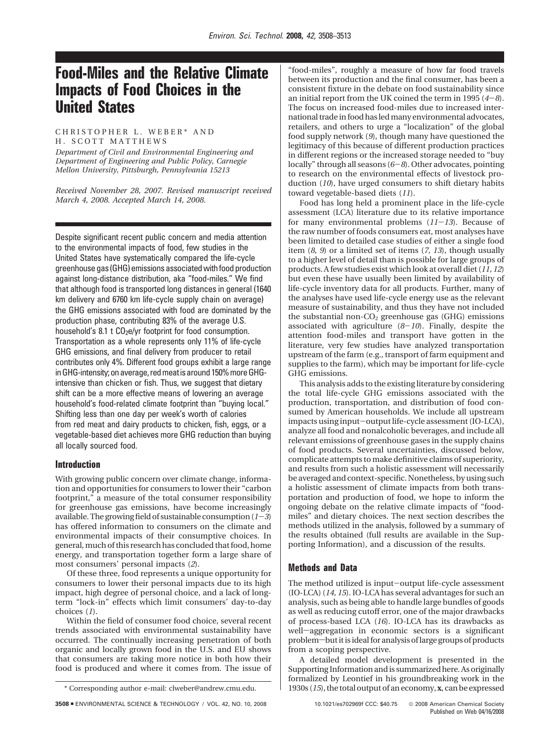# **Food-Miles and the Relative Climate Impacts of Food Choices in the United States**

## CHRISTOPHER L. WEBER\* AND H. SCOTT MATTHEWS

*Department of Civil and Environmental Engineering and Department of Engineering and Public Policy, Carnegie Mellon University, Pittsburgh, Pennsylvania 15213*

*Received November 28, 2007. Revised manuscript received March 4, 2008. Accepted March 14, 2008.*

Despite significant recent public concern and media attention to the environmental impacts of food, few studies in the United States have systematically compared the life-cycle greenhouse gas (GHG) emissions associated with food production against long-distance distribution, aka "food-miles." We find that although food is transported long distances in general (1640 km delivery and 6760 km life-cycle supply chain on average) the GHG emissions associated with food are dominated by the production phase, contributing 83% of the average U.S. household's 8.1 t  $CO<sub>2</sub>e/yr$  footprint for food consumption. Transportation as a whole represents only 11% of life-cycle GHG emissions, and final delivery from producer to retail contributes only 4%. Different food groups exhibit a large range in GHG-intensity; on average, red meat is around 150% more GHGintensive than chicken or fish. Thus, we suggest that dietary shift can be a more effective means of lowering an average household's food-related climate footprint than "buying local." Shifting less than one day per week's worth of calories from red meat and dairy products to chicken, fish, eggs, or a vegetable-based diet achieves more GHG reduction than buying all locally sourced food.

### **Introduction**

With growing public concern over climate change, information and opportunities for consumers to lower their "carbon footprint," a measure of the total consumer responsibility for greenhouse gas emissions, have become increasingly available. The growing field of sustainable consumption  $(1-3)$ has offered information to consumers on the climate and environmental impacts of their consumptive choices. In general, much of this research has concluded that food, home energy, and transportation together form a large share of most consumers' personal impacts (*2*).

Of these three, food represents a unique opportunity for consumers to lower their personal impacts due to its high impact, high degree of personal choice, and a lack of longterm "lock-in" effects which limit consumers' day-to-day choices (*1*).

Within the field of consumer food choice, several recent trends associated with environmental sustainability have occurred. The continually increasing penetration of both organic and locally grown food in the U.S. and EU shows that consumers are taking more notice in both how their food is produced and where it comes from. The issue of

"food-miles", roughly a measure of how far food travels between its production and the final consumer, has been a consistent fixture in the debate on food sustainability since an initial report from the UK coined the term in 1995 (*4*-*8*). The focus on increased food-miles due to increased international trade in food has led many environmental advocates, retailers, and others to urge a "localization" of the global food supply network (*9*), though many have questioned the legitimacy of this because of different production practices in different regions or the increased storage needed to "buy locally" through all seasons (*6*-*8*). Other advocates, pointing to research on the environmental effects of livestock production (*10*), have urged consumers to shift dietary habits toward vegetable-based diets (*11*).

Food has long held a prominent place in the life-cycle assessment (LCA) literature due to its relative importance for many environmental problems (*11*-*13*). Because of the raw number of foods consumers eat, most analyses have been limited to detailed case studies of either a single food item (*8, 9*) or a limited set of items (*7, 13*), though usually to a higher level of detail than is possible for large groups of products. A few studies exist which look at overall diet (*11, 12*) but even these have usually been limited by availability of life-cycle inventory data for all products. Further, many of the analyses have used life-cycle energy use as the relevant measure of sustainability, and thus they have not included the substantial non- $CO<sub>2</sub>$  greenhouse gas (GHG) emissions associated with agriculture (*8*-*10*). Finally, despite the attention food-miles and transport have gotten in the literature, very few studies have analyzed transportation upstream of the farm (e.g., transport of farm equipment and supplies to the farm), which may be important for life-cycle GHG emissions.

This analysis adds to the existing literature by considering the total life-cycle GHG emissions associated with the production, transportation, and distribution of food consumed by American households. We include all upstream impacts using input-output life-cycle assessment (IO-LCA), analyze all food and nonalcoholic beverages, and include all relevant emissions of greenhouse gases in the supply chains of food products. Several uncertainties, discussed below, complicate attempts to make definitive claims of superiority, and results from such a holistic assessment will necessarily be averaged and context-specific. Nonetheless, by using such a holistic assessment of climate impacts from both transportation and production of food, we hope to inform the ongoing debate on the relative climate impacts of "foodmiles" and dietary choices. The next section describes the methods utilized in the analysis, followed by a summary of the results obtained (full results are available in the Supporting Information), and a discussion of the results.

### **Methods and Data**

The method utilized is input-output life-cycle assessment (IO-LCA) (*14, 15*). IO-LCA has several advantages for such an analysis, such as being able to handle large bundles of goods as well as reducing cutoff error, one of the major drawbacks of process-based LCA (*16*). IO-LCA has its drawbacks as well-aggregation in economic sectors is a significant problem-but it is ideal for analysis of large groups of products from a scoping perspective.

A detailed model development is presented in the Supporting Information and is summarized here. As originally formalized by Leontief in his groundbreaking work in the \* Corresponding author e-mail: clweber@andrew.cmu.edu. 1930s (*15*), the total output of an economy, **x**, can be expressed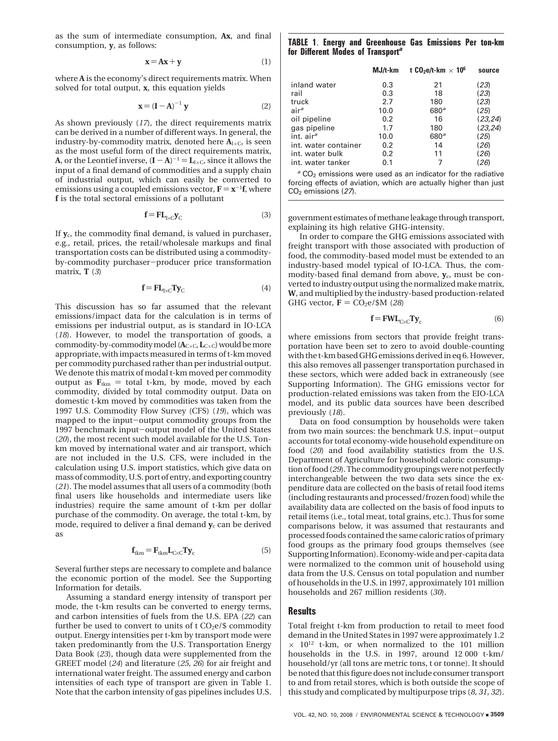as the sum of intermediate consumption, **Ax**, and final consumption, **y**, as follows:

$$
\mathbf{x} = \mathbf{A}\mathbf{x} + \mathbf{y} \tag{1}
$$

where **A** is the economy's direct requirements matrix. When solved for total output, **x**, this equation yields

$$
\mathbf{x} = (\mathbf{I} - \mathbf{A})^{-1} \mathbf{y}
$$
 (2)

As shown previously (*17*), the direct requirements matrix can be derived in a number of different ways. In general, the industry-by-commodity matrix, denoted here  $A_{I \times C}$ , is seen as the most useful form of the direct requirements matrix, **A**, or the Leontief inverse,  $(I - A)^{-1} = L_{I \times C}$ , since it allows the input of a final demand of commodities and a supply chain of industrial output, which can easily be converted to emissions using a coupled emissions vector,  $\mathbf{F} = \mathbf{x}^{-1} \mathbf{f}$ , where **f** is the total sectoral emissions of a pollutant

$$
\mathbf{f} = \mathbf{F} \mathbf{L}_{I \times C} \mathbf{y}_C \tag{3}
$$

If  $\mathbf{v}_c$ , the commodity final demand, is valued in purchaser, e.g., retail, prices, the retail/wholesale markups and final transportation costs can be distributed using a commodityby-commodity purchaser-producer price transformation matrix, **T** (*3*)

$$
\mathbf{f} = \mathbf{F}\mathbf{L}_{I \times C} \mathbf{T} \mathbf{y}_C \tag{4}
$$

This discussion has so far assumed that the relevant emissions/impact data for the calculation is in terms of emissions per industrial output, as is standard in IO-LCA (*18*). However, to model the transportation of goods, a commodity-by-commodity model (**A**<sup>C</sup>×C,**L**<sup>C</sup>×C) would be more appropriate, with impacts measured in terms of t-km moved per commodity purchased rather than per industrial output. We denote this matrix of modal t-km moved per commodity output as  $\mathbf{F}_{tkm}$  = total t-km, by mode, moved by each commodity, divided by total commodity output. Data on domestic t-km moved by commodities was taken from the 1997 U.S. Commodity Flow Survey (CFS) (*19*), which was mapped to the input-output commodity groups from the 1997 benchmark input-output model of the United States (*20*), the most recent such model available for the U.S. Tonkm moved by international water and air transport, which are not included in the U.S. CFS, were included in the calculation using U.S. import statistics, which give data on mass of commodity, U.S. port of entry, and exporting country (*21*). The model assumes that all users of a commodity (both final users like households and intermediate users like industries) require the same amount of t-km per dollar purchase of the commodity. On average, the total t-km, by mode, required to deliver a final demand  $y_c$  can be derived as

$$
\mathbf{f}_{\text{tkm}} = \mathbf{F}_{\text{tkm}} \mathbf{L}_{\text{C} \times \text{C}} \mathbf{T} \mathbf{y}_{\text{c}}
$$
 (5)

Several further steps are necessary to complete and balance the economic portion of the model. See the Supporting Information for details.

Assuming a standard energy intensity of transport per mode, the t-km results can be converted to energy terms, and carbon intensities of fuels from the U.S. EPA (*22*) can further be used to convert to units of t  $CO<sub>2</sub>e/$$  commodity output. Energy intensities per t-km by transport mode were taken predominantly from the U.S. Transportation Energy Data Book (*23*), though data were supplemented from the GREET model (*24*) and literature (*25, 26*) for air freight and international water freight. The assumed energy and carbon intensities of each type of transport are given in Table 1. Note that the carbon intensity of gas pipelines includes U.S.

#### **TABLE 1**. **Energy and Greenhouse Gas Emissions Per ton-km for Different Modes of Transport***<sup>a</sup>*

|                      | $MJ/t$ - $km$ | t CO <sub>2</sub> e/t-km $\times$ 10 <sup>6</sup> | source   |
|----------------------|---------------|---------------------------------------------------|----------|
| inland water         | 0.3           | 21                                                | (23)     |
| rail                 | 0.3           | 18                                                | (23)     |
| truck                | 2.7           | 180                                               | (23)     |
| air <sup>a</sup>     | 10.0          | 680 <sup>a</sup>                                  | (25)     |
| oil pipeline         | 0.2           | 16                                                | (23, 24) |
| gas pipeline         | 1.7           | 180                                               | (23, 24) |
| int. $aira$          | 10.0          | 680 <sup>a</sup>                                  | (25)     |
| int. water container | 0.2           | 14                                                | (26)     |
| int. water bulk      | 0.2           | 11                                                | (26)     |
| int. water tanker    | 0.1           |                                                   | 26)      |

<sup>a</sup> CO<sub>2</sub> emissions were used as an indicator for the radiative forcing effects of aviation, which are actually higher than just CO2 emissions (*27*).

government estimates of methane leakage through transport, explaining its high relative GHG-intensity.

In order to compare the GHG emissions associated with freight transport with those associated with production of food, the commodity-based model must be extended to an industry-based model typical of IO-LCA. Thus, the commodity-based final demand from above, **y**c, must be converted to industry output using the normalized make matrix, **W**, and multiplied by the industry-based production-related GHG vector,  $\mathbf{F} = \text{CO}_2\text{e}/\text{SM}$  (28)

$$
\mathbf{f} = \mathbf{FWL}_{C \times C} \mathbf{Ty}_c \tag{6}
$$

where emissions from sectors that provide freight transportation have been set to zero to avoid double-counting with the t-km based GHG emissions derived in eq 6. However, this also removes all passenger transportation purchased in these sectors, which were added back in extraneously (see Supporting Information). The GHG emissions vector for production-related emissions was taken from the EIO-LCA model, and its public data sources have been described previously (*18*).

Data on food consumption by households were taken from two main sources: the benchmark U.S. input-output accounts for total economy-wide household expenditure on food (*20*) and food availability statistics from the U.S. Department of Agriculture for household caloric consumption of food (*29*). The commodity groupings were not perfectly interchangeable between the two data sets since the expenditure data are collected on the basis of retail food items (including restaurants and processed/frozen food) while the availability data are collected on the basis of food inputs to retail items (i.e., total meat, total grains, etc.). Thus for some comparisons below, it was assumed that restaurants and processed foods contained the same caloric ratios of primary food groups as the primary food groups themselves (see Supporting Information). Economy-wide and per-capita data were normalized to the common unit of household using data from the U.S. Census on total population and number of households in the U.S. in 1997, approximately 101 million households and 267 million residents (*30*).

#### **Results**

Total freight t-km from production to retail to meet food demand in the United States in 1997 were approximately 1.2  $\times$  10<sup>12</sup> t-km, or when normalized to the 101 million households in the U.S. in 1997, around 12 000 t-km/ household/yr (all tons are metric tons, t or tonne). It should be noted that this figure does not include consumer transport to and from retail stores, which is both outside the scope of this study and complicated by multipurpose trips (*8, 31, 32*).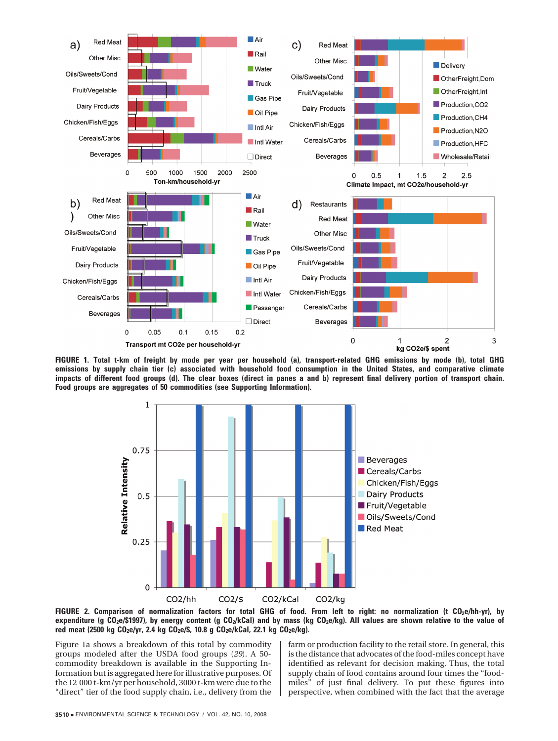





FIGURE 2. Comparison of normalization factors for total GHG of food. From left to right: no normalization (t CO<sub>2</sub>e/hh-yr), by expenditure (g CO<sub>2</sub>e/\$1997), by energy content (g CO<sub>2</sub>/kCal) and by mass (kg CO<sub>2</sub>e/kg). All values are shown relative to the value of red meat (2500 kg CO<sub>2</sub>e/yr, 2.4 kg CO<sub>2</sub>e/\$, 10.8 g CO<sub>2</sub>e/kCal, 22.1 kg CO<sub>2</sub>e/kg).

Figure 1a shows a breakdown of this total by commodity groups modeled after the USDA food groups (*29*). A 50 commodity breakdown is available in the Supporting Information but is aggregated here for illustrative purposes. Of the 12 000 t-km/yr per household, 3000 t-km were due to the "direct" tier of the food supply chain, i.e., delivery from the

farm or production facility to the retail store. In general, this is the distance that advocates of the food-miles concept have identified as relevant for decision making. Thus, the total supply chain of food contains around four times the "foodmiles" of just final delivery. To put these figures into perspective, when combined with the fact that the average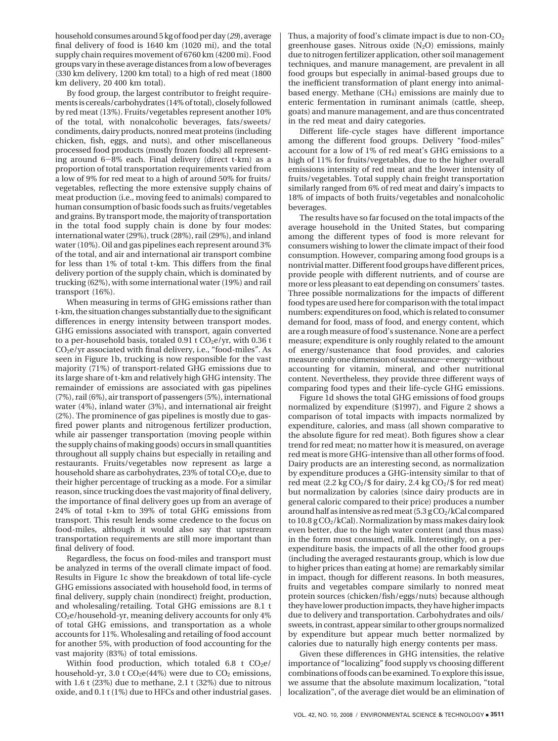household consumes around 5 kg of food per day (*29*), average final delivery of food is 1640 km (1020 mi), and the total supply chain requires movement of 6760 km (4200 mi). Food groups vary in these average distances from a low of beverages (330 km delivery, 1200 km total) to a high of red meat (1800 km delivery, 20 400 km total).

By food group, the largest contributor to freight requirements is cereals/carbohydrates (14% of total), closely followed by red meat (13%). Fruits/vegetables represent another 10% of the total, with nonalcoholic beverages, fats/sweets/ condiments, dairy products, nonred meat proteins (including chicken, fish, eggs, and nuts), and other miscellaneous processed food products (mostly frozen foods) all representing around 6-8% each. Final delivery (direct t-km) as a proportion of total transportation requirements varied from a low of 9% for red meat to a high of around 50% for fruits/ vegetables, reflecting the more extensive supply chains of meat production (i.e., moving feed to animals) compared to human consumption of basic foods such as fruits/vegetables and grains. By transport mode, the majority of transportation in the total food supply chain is done by four modes: international water (29%), truck (28%), rail (29%), and inland water (10%). Oil and gas pipelines each represent around 3% of the total, and air and international air transport combine for less than 1% of total t-km. This differs from the final delivery portion of the supply chain, which is dominated by trucking (62%), with some international water (19%) and rail transport (16%).

When measuring in terms of GHG emissions rather than t-km, the situation changes substantially due to the significant differences in energy intensity between transport modes. GHG emissions associated with transport, again converted to a per-household basis, totaled  $0.91$  t  $CO<sub>2</sub>e/yr$ , with  $0.36$  t CO2e/yr associated with final delivery, i.e., "food-miles". As seen in Figure 1b, trucking is now responsible for the vast majority (71%) of transport-related GHG emissions due to its large share of t-km and relatively high GHG intensity. The remainder of emissions are associated with gas pipelines (7%), rail (6%), air transport of passengers (5%), international water (4%), inland water (3%), and international air freight (2%). The prominence of gas pipelines is mostly due to gasfired power plants and nitrogenous fertilizer production, while air passenger transportation (moving people within the supply chains of making goods) occurs in small quantities throughout all supply chains but especially in retailing and restaurants. Fruits/vegetables now represent as large a household share as carbohydrates,  $23\%$  of total  $CO<sub>2</sub>e$ , due to their higher percentage of trucking as a mode. For a similar reason, since trucking does the vast majority of final delivery, the importance of final delivery goes up from an average of 24% of total t-km to 39% of total GHG emissions from transport. This result lends some credence to the focus on food-miles, although it would also say that upstream transportation requirements are still more important than final delivery of food.

Regardless, the focus on food-miles and transport must be analyzed in terms of the overall climate impact of food. Results in Figure 1c show the breakdown of total life-cycle GHG emissions associated with household food, in terms of final delivery, supply chain (nondirect) freight, production, and wholesaling/retailing. Total GHG emissions are 8.1 t  $CO<sub>2</sub>e/household-yr, meaning delivery accounts for only 4%$ of total GHG emissions, and transportation as a whole accounts for 11%. Wholesaling and retailing of food account for another 5%, with production of food accounting for the vast majority (83%) of total emissions.

Within food production, which totaled  $6.8$  t CO<sub>2</sub>e/ household-yr, 3.0 t  $CO<sub>2</sub>e(44%)$  were due to  $CO<sub>2</sub>$  emissions, with 1.6 t (23%) due to methane, 2.1 t (32%) due to nitrous oxide, and 0.1 t (1%) due to HFCs and other industrial gases.

Thus, a majority of food's climate impact is due to non- $CO<sub>2</sub>$ greenhouse gases. Nitrous oxide  $(N_2O)$  emissions, mainly due to nitrogen fertilizer application, other soil management techniques, and manure management, are prevalent in all food groups but especially in animal-based groups due to the inefficient transformation of plant energy into animalbased energy. Methane  $(CH<sub>4</sub>)$  emissions are mainly due to enteric fermentation in ruminant animals (cattle, sheep, goats) and manure management, and are thus concentrated in the red meat and dairy categories.

Different life-cycle stages have different importance among the different food groups. Delivery "food-miles" account for a low of 1% of red meat's GHG emissions to a high of 11% for fruits/vegetables, due to the higher overall emissions intensity of red meat and the lower intensity of fruits/vegetables. Total supply chain freight transportation similarly ranged from 6% of red meat and dairy's impacts to 18% of impacts of both fruits/vegetables and nonalcoholic beverages.

The results have so far focused on the total impacts of the average household in the United States, but comparing among the different types of food is more relevant for consumers wishing to lower the climate impact of their food consumption. However, comparing among food groups is a nontrivial matter. Different food groups have different prices, provide people with different nutrients, and of course are more or less pleasant to eat depending on consumers' tastes. Three possible normalizations for the impacts of different food types are used here for comparison with the total impact numbers: expenditures on food, which is related to consumer demand for food, mass of food, and energy content, which are a rough measure of food's sustenance. None are a perfect measure; expenditure is only roughly related to the amount of energy/sustenance that food provides, and calories measure only one dimension of sustenance-energy-without accounting for vitamin, mineral, and other nutritional content. Nevertheless, they provide three different ways of comparing food types and their life-cycle GHG emissions.

Figure 1d shows the total GHG emissions of food groups normalized by expenditure (\$1997), and Figure 2 shows a comparison of total impacts with impacts normalized by expenditure, calories, and mass (all shown comparative to the absolute figure for red meat). Both figures show a clear trend for red meat; no matter how it is measured, on average red meat is more GHG-intensive than all other forms of food. Dairy products are an interesting second, as normalization by expenditure produces a GHG-intensity similar to that of red meat (2.2 kg  $CO<sub>2</sub>/$$  for dairy, 2.4 kg  $CO<sub>2</sub>/$$  for red meat) but normalization by calories (since dairy products are in general caloric compared to their price) produces a number around half as intensive as red meat  $(5.3 \text{ g } CO<sub>2</sub>/kCal compared$ to  $10.8$  g  $CO<sub>2</sub>/kCal$ ). Normalization by mass makes dairy look even better, due to the high water content (and thus mass) in the form most consumed, milk. Interestingly, on a perexpenditure basis, the impacts of all the other food groups (including the averaged restaurants group, which is low due to higher prices than eating at home) are remarkably similar in impact, though for different reasons. In both measures, fruits and vegetables compare similarly to nonred meat protein sources (chicken/fish/eggs/nuts) because although they have lower production impacts, they have higher impacts due to delivery and transportation. Carbohydrates and oils/ sweets, in contrast, appear similar to other groups normalized by expenditure but appear much better normalized by calories due to naturally high energy contents per mass.

Given these differences in GHG intensities, the relative importance of "localizing" food supply vs choosing different combinations of foods can be examined. To explore this issue, we assume that the absolute maximum localization, "total localization", of the average diet would be an elimination of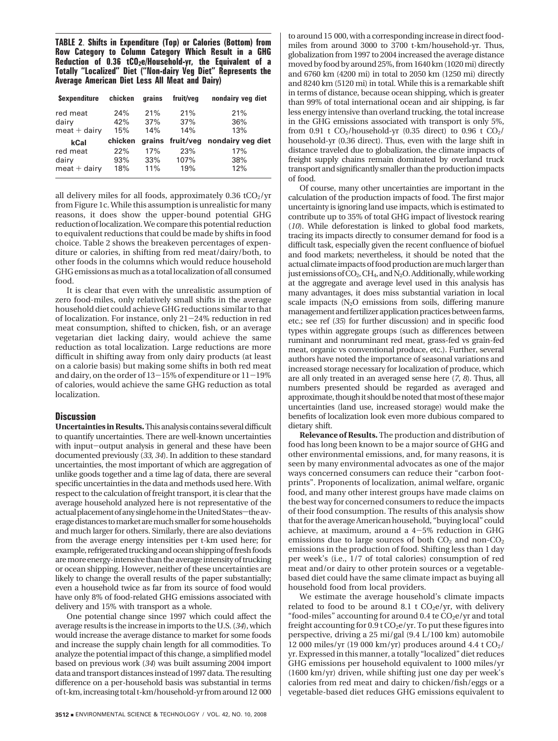**TABLE 2**. **Shifts in Expenditure (Top) or Calories (Bottom) from Row Category to Column Category Which Result in a GHG** Reduction of 0.36 tCO<sub>2</sub>e/Household-yr, the Equivalent of a **Totally "Localized" Diet ("Non-dairy Veg Diet" Represents the Average American Diet Less All Meat and Dairy)**

| <b>Sexpenditure</b> | chicken | grains | fruit/veg | nondairy veg diet                  |
|---------------------|---------|--------|-----------|------------------------------------|
| red meat            | 24%     | 21%    | 21%       | 21%                                |
| dairy               | 42%     | 37%    | 37%       | 36%                                |
| $meet + dairy$      | 15%     | 14%    | 14%       | 13%                                |
|                     |         |        |           | grains fruit/veg nondairy veg diet |
| kCal                | chicken |        |           |                                    |
| red meat            | 22%     | 17%    | 23%       | 17%                                |
| dairy               | 93%     | 33%    | 107%      | 38%                                |

all delivery miles for all foods, approximately  $0.36$  tCO<sub>2</sub>/yr from Figure 1c. While this assumption is unrealistic for many reasons, it does show the upper-bound potential GHG reduction of localization. We compare this potential reduction to equivalent reductions that could be made by shifts in food choice. Table 2 shows the breakeven percentages of expenditure or calories, in shifting from red meat/dairy/both, to other foods in the columns which would reduce household GHG emissions as much as a total localization of all consumed food.

It is clear that even with the unrealistic assumption of zero food-miles, only relatively small shifts in the average household diet could achieve GHG reductions similar to that of localization. For instance, only 21-24% reduction in red meat consumption, shifted to chicken, fish, or an average vegetarian diet lacking dairy, would achieve the same reduction as total localization. Large reductions are more difficult in shifting away from only dairy products (at least on a calorie basis) but making some shifts in both red meat and dairy, on the order of 13-15% of expenditure or  $11-19%$ of calories, would achieve the same GHG reduction as total localization.

### **Discussion**

**Uncertainties inResults.**This analysis contains several difficult to quantify uncertainties. There are well-known uncertainties with input-output analysis in general and these have been documented previously (*33, 34*). In addition to these standard uncertainties, the most important of which are aggregation of unlike goods together and a time lag of data, there are several specific uncertainties in the data and methods used here. With respect to the calculation of freight transport, it is clear that the average household analyzed here is not representative of the actual placement of any single home in the United States-the averagedistancestomarketaremuchsmallerforsomehouseholds and much larger for others. Similarly, there are also deviations from the average energy intensities per t-km used here; for example, refrigerated trucking and ocean shipping of fresh foods are more energy-intensive than the average intensity of trucking or ocean shipping. However, neither of these uncertainties are likely to change the overall results of the paper substantially; even a household twice as far from its source of food would have only 8% of food-related GHG emissions associated with delivery and 15% with transport as a whole.

One potential change since 1997 which could affect the average results is the increase in imports to the U.S. (*34*), which would increase the average distance to market for some foods and increase the supply chain length for all commodities. To analyze the potential impact of this change, a simplified model based on previous work (*34*) was built assuming 2004 import data and transport distances instead of 1997 data. The resulting difference on a per-household basis was substantial in terms of t-km, increasing total t-km/household-yr from around 12 000 to around 15 000, with a corresponding increase in direct foodmiles from around 3000 to 3700 t-km/household-yr. Thus, globalization from 1997 to 2004 increased the average distance moved by food by around 25%, from 1640 km (1020 mi) directly and 6760 km (4200 mi) in total to 2050 km (1250 mi) directly and 8240 km (5120 mi) in total. While this is a remarkable shift in terms of distance, because ocean shipping, which is greater than 99% of total international ocean and air shipping, is far less energy intensive than overland trucking, the total increase in the GHG emissions associated with transport is only 5%, from 0.91 t  $CO<sub>2</sub>/$ household-yr (0.35 direct) to 0.96 t  $CO<sub>2</sub>/$ household-yr (0.36 direct). Thus, even with the large shift in distance traveled due to globalization, the climate impacts of freight supply chains remain dominated by overland truck transport and significantly smaller than the production impacts of food.

Of course, many other uncertainties are important in the calculation of the production impacts of food. The first major uncertainty is ignoring land use impacts, which is estimated to contribute up to 35% of total GHG impact of livestock rearing (*10*). While deforestation is linked to global food markets, tracing its impacts directly to consumer demand for food is a difficult task, especially given the recent confluence of biofuel and food markets; nevertheless, it should be noted that the actual climate impacts of food production are much larger than just emissions of  $CO<sub>2</sub>$ ,  $CH<sub>4</sub>$ , and N<sub>2</sub>O. Additionally, while working at the aggregate and average level used in this analysis has many advantages, it does miss substantial variation in local scale impacts  $(N_2O)$  emissions from soils, differing manure management and fertilizer application practices between farms, etc.; see ref (*35*) for further discussion) and in specific food types within aggregate groups (such as differences between ruminant and nonruminant red meat, grass-fed vs grain-fed meat, organic vs conventional produce, etc.). Further, several authors have noted the importance of seasonal variations and increased storage necessary for localization of produce, which are all only treated in an averaged sense here (*7, 8*). Thus, all numbers presented should be regarded as averaged and approximate, though it should be noted that most of these major uncertainties (land use, increased storage) would make the benefits of localization look even more dubious compared to dietary shift.

**Relevance of Results.** The production and distribution of food has long been known to be a major source of GHG and other environmental emissions, and, for many reasons, it is seen by many environmental advocates as one of the major ways concerned consumers can reduce their "carbon footprints". Proponents of localization, animal welfare, organic food, and many other interest groups have made claims on the best way for concerned consumers to reduce the impacts of their food consumption. The results of this analysis show that for the average American household, "buying local" could achieve, at maximum, around a 4-5% reduction in GHG emissions due to large sources of both  $CO<sub>2</sub>$  and non- $CO<sub>2</sub>$ emissions in the production of food. Shifting less than 1 day per week's (i.e., 1/7 of total calories) consumption of red meat and/or dairy to other protein sources or a vegetablebased diet could have the same climate impact as buying all household food from local providers.

We estimate the average household's climate impacts related to food to be around 8.1 t  $CO<sub>2</sub>e/yr$ , with delivery "food-miles" accounting for around 0.4 te  $CO<sub>2</sub>e/yr$  and total freight accounting for  $0.9$  t  $CO<sub>2</sub>e/yr$ . To put these figures into perspective, driving a 25 mi/gal (9.4 L/100 km) automobile 12 000 miles/yr (19 000 km/yr) produces around 4.4 t  $CO<sub>2</sub>/$ yr. Expressed in this manner, a totally "localized" diet reduces GHG emissions per household equivalent to 1000 miles/yr (1600 km/yr) driven, while shifting just one day per week's calories from red meat and dairy to chicken/fish/eggs or a vegetable-based diet reduces GHG emissions equivalent to